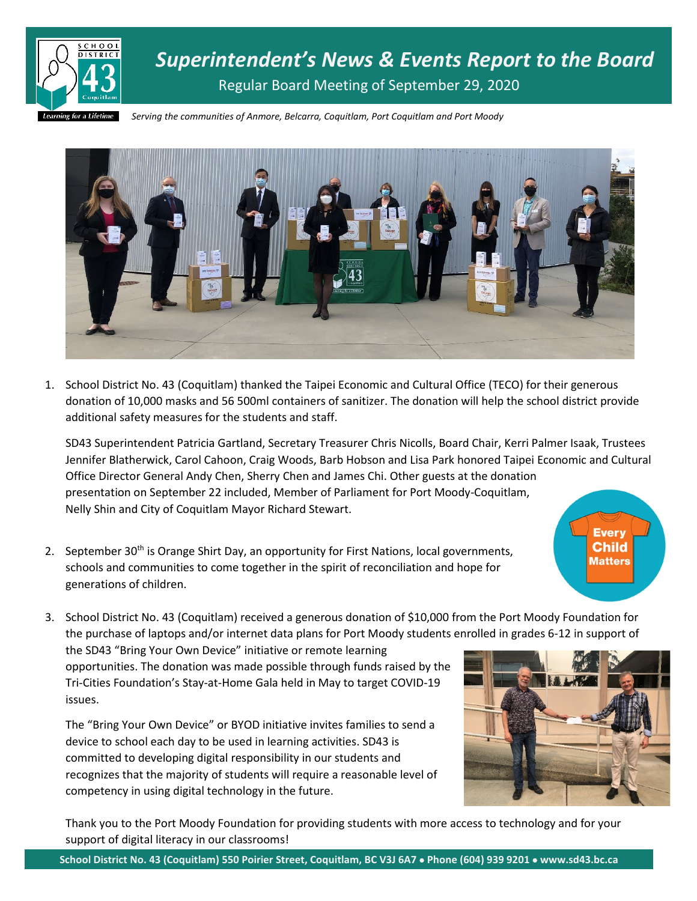

*Superintendent's News & Events Report to the Board* Regular Board Meeting of September 29, 2020

*Serving the communities of Anmore, Belcarra, Coquitlam, Port Coquitlam and Port Moody*



1. School District No. 43 (Coquitlam) thanked the Taipei Economic and Cultural Office (TECO) for their generous donation of 10,000 masks and 56 500ml containers of sanitizer. The donation will help the school district provide additional safety measures for the students and staff.

SD43 Superintendent Patricia Gartland, Secretary Treasurer Chris Nicolls, Board Chair, Kerri Palmer Isaak, Trustees Jennifer Blatherwick, Carol Cahoon, Craig Woods, Barb Hobson and Lisa Park honored Taipei Economic and Cultural Office Director General Andy Chen, Sherry Chen and James Chi. Other guests at the donation presentation on September 22 included, Member of Parliament for Port Moody-Coquitlam, Nelly Shin and City of Coquitlam Mayor Richard Stewart.

- **Every Child Matters**
- 2. September 30<sup>th</sup> is Orange Shirt Day, an opportunity for First Nations, local governments, schools and communities to come together in the spirit of reconciliation and hope for generations of children.

3. School District No. 43 (Coquitlam) received a generous donation of \$10,000 from the Port Moody Foundation for the purchase of laptops and/or internet data plans for Port Moody students enrolled in grades 6-12 in support of

the SD43 "Bring Your Own Device" initiative or remote learning opportunities. The donation was made possible through funds raised by the Tri-Cities Foundation's Stay-at-Home Gala held in May to target COVID-19 issues.

The "Bring Your Own Device" or BYOD initiative invites families to send a device to school each day to be used in learning activities. SD43 is committed to developing digital responsibility in our students and recognizes that the majority of students will require a reasonable level of competency in using digital technology in the future.



Thank you to the Port Moody Foundation for providing students with more access to technology and for your support of digital literacy in our classrooms!